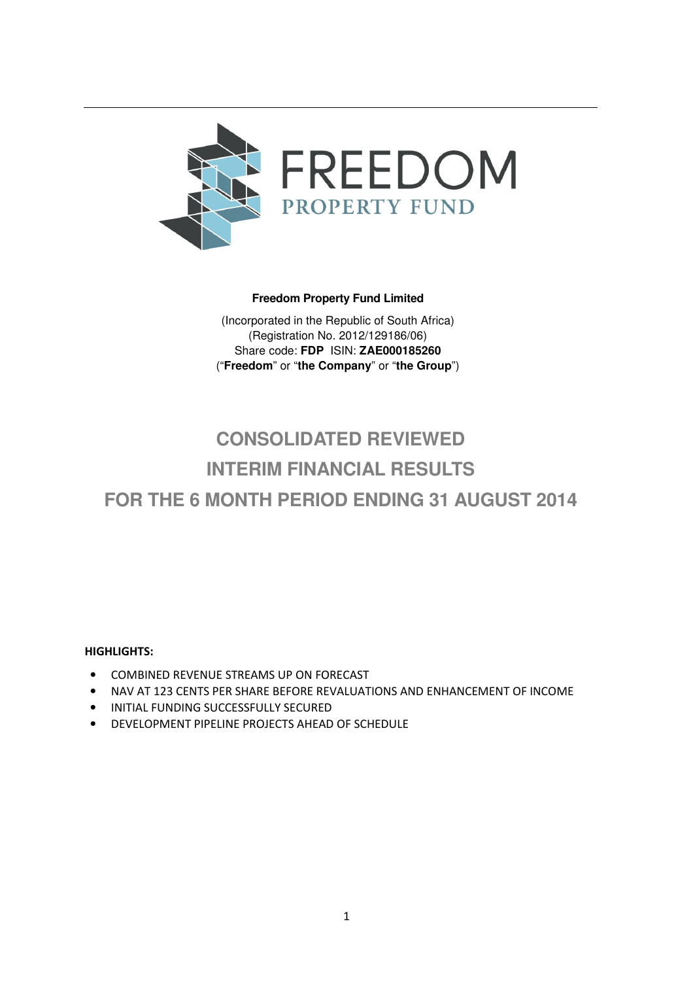

# **Freedom Property Fund Limited**

(Incorporated in the Republic of South Africa) (Registration No. 2012/129186/06) Share code: **FDP** ISIN: **ZAE000185260** ("**Freedom**" or "**the Company**" or "**the Group**")

# **CONSOLIDATED REVIEWED INTERIM FINANCIAL RESULTS FOR THE 6 MONTH PERIOD ENDING 31 AUGUST 2014**

# HIGHLIGHTS:

- COMBINED REVENUE STREAMS UP ON FORECAST
- NAV AT 123 CENTS PER SHARE BEFORE REVALUATIONS AND ENHANCEMENT OF INCOME
- INITIAL FUNDING SUCCESSFULLY SECURED
- DEVELOPMENT PIPELINE PROJECTS AHEAD OF SCHEDULE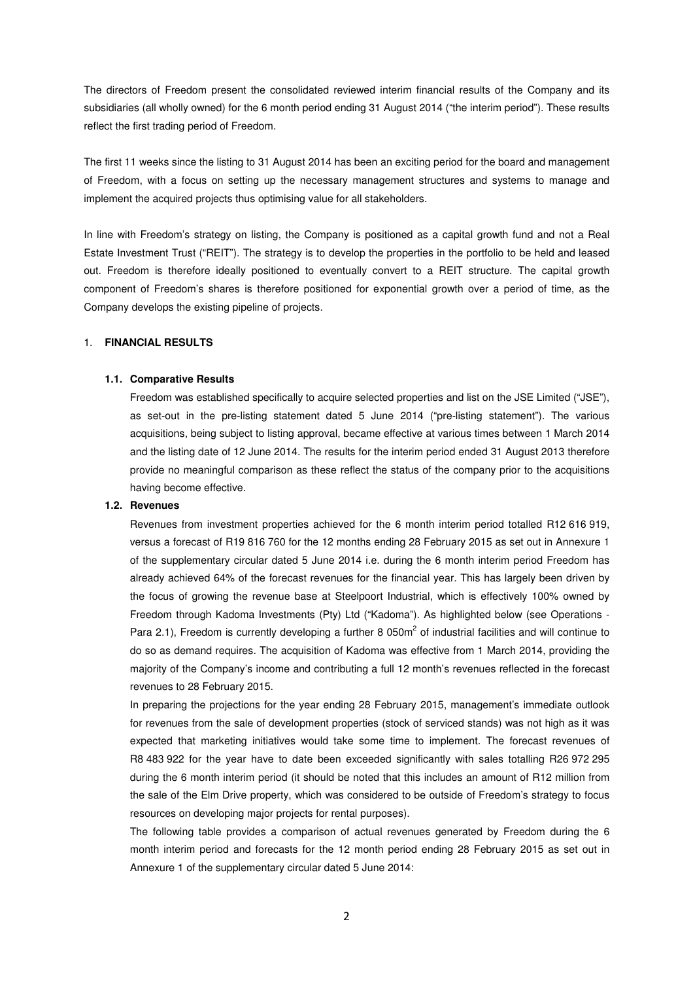The directors of Freedom present the consolidated reviewed interim financial results of the Company and its subsidiaries (all wholly owned) for the 6 month period ending 31 August 2014 ("the interim period"). These results reflect the first trading period of Freedom.

The first 11 weeks since the listing to 31 August 2014 has been an exciting period for the board and management of Freedom, with a focus on setting up the necessary management structures and systems to manage and implement the acquired projects thus optimising value for all stakeholders.

In line with Freedom's strategy on listing, the Company is positioned as a capital growth fund and not a Real Estate Investment Trust ("REIT"). The strategy is to develop the properties in the portfolio to be held and leased out. Freedom is therefore ideally positioned to eventually convert to a REIT structure. The capital growth component of Freedom's shares is therefore positioned for exponential growth over a period of time, as the Company develops the existing pipeline of projects.

## 1. **FINANCIAL RESULTS**

#### **1.1. Comparative Results**

Freedom was established specifically to acquire selected properties and list on the JSE Limited ("JSE"), as set-out in the pre-listing statement dated 5 June 2014 ("pre-listing statement"). The various acquisitions, being subject to listing approval, became effective at various times between 1 March 2014 and the listing date of 12 June 2014. The results for the interim period ended 31 August 2013 therefore provide no meaningful comparison as these reflect the status of the company prior to the acquisitions having become effective.

#### **1.2. Revenues**

Revenues from investment properties achieved for the 6 month interim period totalled R12 616 919, versus a forecast of R19 816 760 for the 12 months ending 28 February 2015 as set out in Annexure 1 of the supplementary circular dated 5 June 2014 i.e. during the 6 month interim period Freedom has already achieved 64% of the forecast revenues for the financial year. This has largely been driven by the focus of growing the revenue base at Steelpoort Industrial, which is effectively 100% owned by Freedom through Kadoma Investments (Pty) Ltd ("Kadoma"). As highlighted below (see Operations - Para 2.1), Freedom is currently developing a further 8 050 $m^2$  of industrial facilities and will continue to do so as demand requires. The acquisition of Kadoma was effective from 1 March 2014, providing the majority of the Company's income and contributing a full 12 month's revenues reflected in the forecast revenues to 28 February 2015.

In preparing the projections for the year ending 28 February 2015, management's immediate outlook for revenues from the sale of development properties (stock of serviced stands) was not high as it was expected that marketing initiatives would take some time to implement. The forecast revenues of R8 483 922 for the year have to date been exceeded significantly with sales totalling R26 972 295 during the 6 month interim period (it should be noted that this includes an amount of R12 million from the sale of the Elm Drive property, which was considered to be outside of Freedom's strategy to focus resources on developing major projects for rental purposes).

The following table provides a comparison of actual revenues generated by Freedom during the 6 month interim period and forecasts for the 12 month period ending 28 February 2015 as set out in Annexure 1 of the supplementary circular dated 5 June 2014: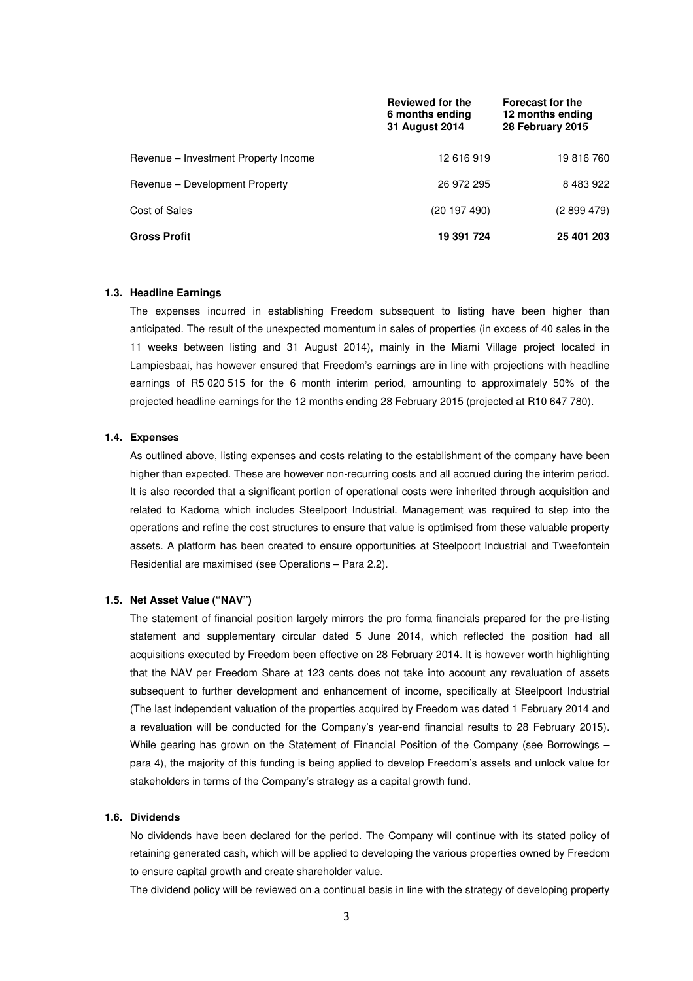|                                      | Reviewed for the<br>6 months ending<br>31 August 2014 | <b>Forecast for the</b><br>12 months ending<br>28 February 2015 |
|--------------------------------------|-------------------------------------------------------|-----------------------------------------------------------------|
| Revenue – Investment Property Income | 12 616 919                                            | 19 816 760                                                      |
| Revenue – Development Property       | 26 972 295                                            | 8 483 922                                                       |
| Cost of Sales                        | (20197490)                                            | (2 899 479)                                                     |
| <b>Gross Profit</b>                  | 19 391 724                                            | 25 401 203                                                      |

#### **1.3. Headline Earnings**

The expenses incurred in establishing Freedom subsequent to listing have been higher than anticipated. The result of the unexpected momentum in sales of properties (in excess of 40 sales in the 11 weeks between listing and 31 August 2014), mainly in the Miami Village project located in Lampiesbaai, has however ensured that Freedom's earnings are in line with projections with headline earnings of R5 020 515 for the 6 month interim period, amounting to approximately 50% of the projected headline earnings for the 12 months ending 28 February 2015 (projected at R10 647 780).

#### **1.4. Expenses**

As outlined above, listing expenses and costs relating to the establishment of the company have been higher than expected. These are however non-recurring costs and all accrued during the interim period. It is also recorded that a significant portion of operational costs were inherited through acquisition and related to Kadoma which includes Steelpoort Industrial. Management was required to step into the operations and refine the cost structures to ensure that value is optimised from these valuable property assets. A platform has been created to ensure opportunities at Steelpoort Industrial and Tweefontein Residential are maximised (see Operations – Para 2.2).

#### **1.5. Net Asset Value ("NAV")**

The statement of financial position largely mirrors the pro forma financials prepared for the pre-listing statement and supplementary circular dated 5 June 2014, which reflected the position had all acquisitions executed by Freedom been effective on 28 February 2014. It is however worth highlighting that the NAV per Freedom Share at 123 cents does not take into account any revaluation of assets subsequent to further development and enhancement of income, specifically at Steelpoort Industrial (The last independent valuation of the properties acquired by Freedom was dated 1 February 2014 and a revaluation will be conducted for the Company's year-end financial results to 28 February 2015). While gearing has grown on the Statement of Financial Position of the Company (see Borrowings para 4), the majority of this funding is being applied to develop Freedom's assets and unlock value for stakeholders in terms of the Company's strategy as a capital growth fund.

## **1.6. Dividends**

No dividends have been declared for the period. The Company will continue with its stated policy of retaining generated cash, which will be applied to developing the various properties owned by Freedom to ensure capital growth and create shareholder value.

The dividend policy will be reviewed on a continual basis in line with the strategy of developing property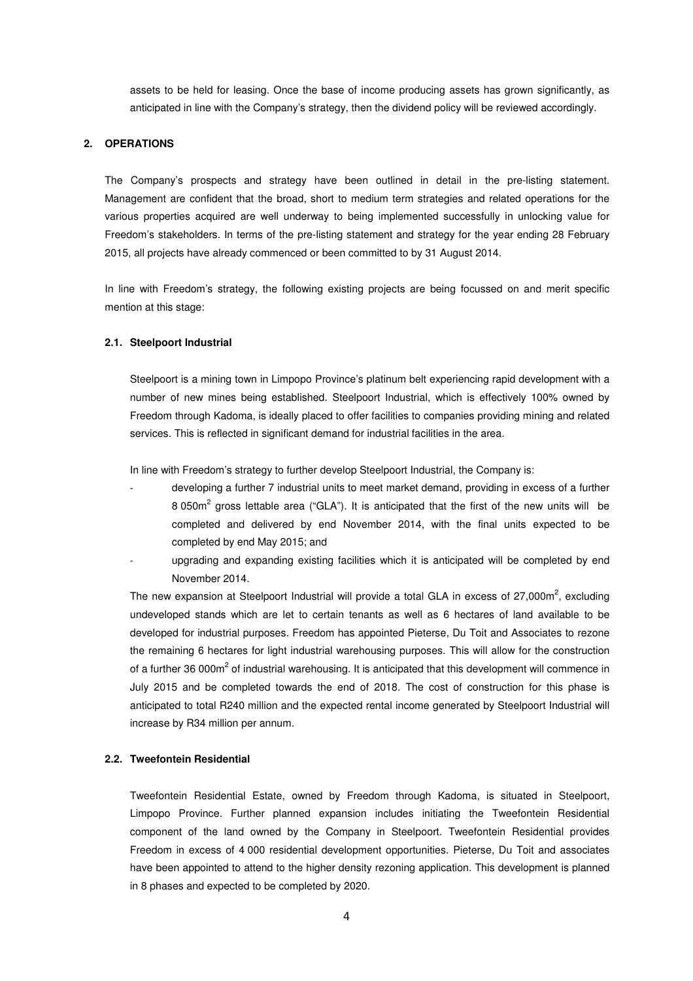assets to be held for leasing. Once the base of income producing assets has grown significantly, as anticipated in line with the Company's strategy, then the dividend policy will be reviewed accordingly.

#### **2. OPERATIONS**

The Company's prospects and strategy have been outlined in detail in the pre-listing statement. Management are confident that the broad, short to medium term strategies and related operations for the various properties acquired are well underway to being implemented successfully in unlocking value for Freedom's stakeholders. In terms of the pre-listing statement and strategy for the year ending 28 February 2015, all projects have already commenced or been committed to by 31 August 2014.

In line with Freedom's strategy, the following existing projects are being focussed on and merit specific mention at this stage:

#### **2.1. Steelpoort Industrial**

Steelpoort is a mining town in Limpopo Province's platinum belt experiencing rapid development with a number of new mines being established. Steelpoort Industrial, which is effectively 100% owned by Freedom through Kadoma, is ideally placed to offer facilities to companies providing mining and related services. This is reflected in significant demand for industrial facilities in the area.

In line with Freedom's strategy to further develop Steelpoort Industrial, the Company is:

- developing a further 7 industrial units to meet market demand, providing in excess of a further 8 050 $m^2$  gross lettable area ("GLA"). It is anticipated that the first of the new units will be completed and delivered by end November 2014, with the final units expected to be completed by end May 2015; and
- upgrading and expanding existing facilities which it is anticipated will be completed by end November 2014.

The new expansion at Steelpoort Industrial will provide a total GLA in excess of 27,000m<sup>2</sup>, excluding undeveloped stands which are let to certain tenants as well as 6 hectares of land available to be developed for industrial purposes. Freedom has appointed Pieterse, Du Toit and Associates to rezone the remaining 6 hectares for light industrial warehousing purposes. This will allow for the construction of a further 36 000m<sup>2</sup> of industrial warehousing. It is anticipated that this development will commence in July 2015 and be completed towards the end of 2018. The cost of construction for this phase is anticipated to total R240 million and the expected rental income generated by Steelpoort Industrial will increase by R34 million per annum.

#### **2.2. Tweefontein Residential**

Tweefontein Residential Estate, owned by Freedom through Kadoma, is situated in Steelpoort, Limpopo Province. Further planned expansion includes initiating the Tweefontein Residential component of the land owned by the Company in Steelpoort. Tweefontein Residential provides Freedom in excess of 4 000 residential development opportunities. Pieterse, Du Toit and associates have been appointed to attend to the higher density rezoning application. This development is planned in 8 phases and expected to be completed by 2020.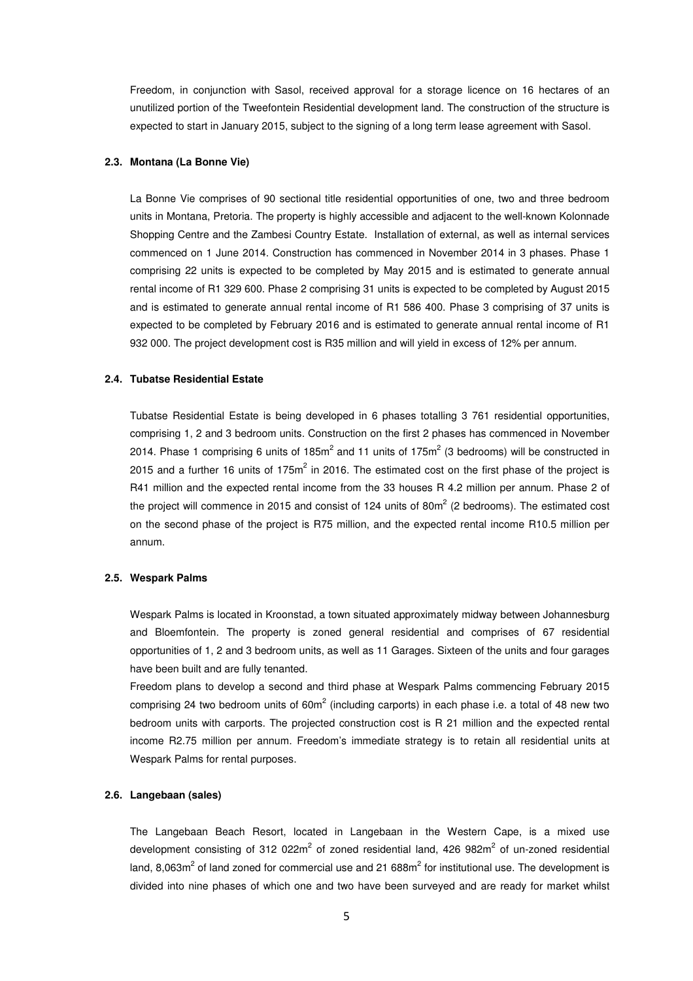Freedom, in conjunction with Sasol, received approval for a storage licence on 16 hectares of an unutilized portion of the Tweefontein Residential development land. The construction of the structure is expected to start in January 2015, subject to the signing of a long term lease agreement with Sasol.

#### **2.3. Montana (La Bonne Vie)**

La Bonne Vie comprises of 90 sectional title residential opportunities of one, two and three bedroom units in Montana, Pretoria. The property is highly accessible and adjacent to the well-known Kolonnade Shopping Centre and the Zambesi Country Estate. Installation of external, as well as internal services commenced on 1 June 2014. Construction has commenced in November 2014 in 3 phases. Phase 1 comprising 22 units is expected to be completed by May 2015 and is estimated to generate annual rental income of R1 329 600. Phase 2 comprising 31 units is expected to be completed by August 2015 and is estimated to generate annual rental income of R1 586 400. Phase 3 comprising of 37 units is expected to be completed by February 2016 and is estimated to generate annual rental income of R1 932 000. The project development cost is R35 million and will yield in excess of 12% per annum.

#### **2.4. Tubatse Residential Estate**

Tubatse Residential Estate is being developed in 6 phases totalling 3 761 residential opportunities, comprising 1, 2 and 3 bedroom units. Construction on the first 2 phases has commenced in November 2014. Phase 1 comprising 6 units of 185m<sup>2</sup> and 11 units of 175m<sup>2</sup> (3 bedrooms) will be constructed in 2015 and a further 16 units of 175 $m^2$  in 2016. The estimated cost on the first phase of the project is R41 million and the expected rental income from the 33 houses R 4.2 million per annum. Phase 2 of the project will commence in 2015 and consist of 124 units of 80m<sup>2</sup> (2 bedrooms). The estimated cost on the second phase of the project is R75 million, and the expected rental income R10.5 million per annum.

#### **2.5. Wespark Palms**

Wespark Palms is located in Kroonstad, a town situated approximately midway between Johannesburg and Bloemfontein. The property is zoned general residential and comprises of 67 residential opportunities of 1, 2 and 3 bedroom units, as well as 11 Garages. Sixteen of the units and four garages have been built and are fully tenanted.

Freedom plans to develop a second and third phase at Wespark Palms commencing February 2015 comprising 24 two bedroom units of 60m<sup>2</sup> (including carports) in each phase i.e. a total of 48 new two bedroom units with carports. The projected construction cost is R 21 million and the expected rental income R2.75 million per annum. Freedom's immediate strategy is to retain all residential units at Wespark Palms for rental purposes.

### **2.6. Langebaan (sales)**

The Langebaan Beach Resort, located in Langebaan in the Western Cape, is a mixed use development consisting of 312 022m<sup>2</sup> of zoned residential land, 426 982m<sup>2</sup> of un-zoned residential land, 8,063m<sup>2</sup> of land zoned for commercial use and 21 688m<sup>2</sup> for institutional use. The development is divided into nine phases of which one and two have been surveyed and are ready for market whilst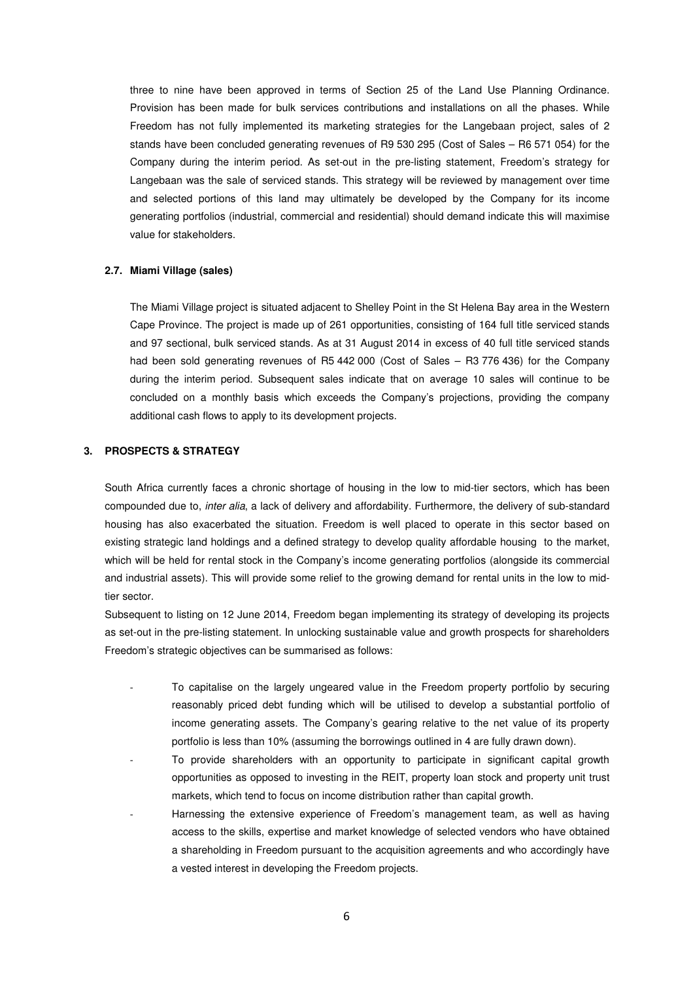three to nine have been approved in terms of Section 25 of the Land Use Planning Ordinance. Provision has been made for bulk services contributions and installations on all the phases. While Freedom has not fully implemented its marketing strategies for the Langebaan project, sales of 2 stands have been concluded generating revenues of R9 530 295 (Cost of Sales – R6 571 054) for the Company during the interim period. As set-out in the pre-listing statement, Freedom's strategy for Langebaan was the sale of serviced stands. This strategy will be reviewed by management over time and selected portions of this land may ultimately be developed by the Company for its income generating portfolios (industrial, commercial and residential) should demand indicate this will maximise value for stakeholders.

#### **2.7. Miami Village (sales)**

The Miami Village project is situated adjacent to Shelley Point in the St Helena Bay area in the Western Cape Province. The project is made up of 261 opportunities, consisting of 164 full title serviced stands and 97 sectional, bulk serviced stands. As at 31 August 2014 in excess of 40 full title serviced stands had been sold generating revenues of R5 442 000 (Cost of Sales – R3 776 436) for the Company during the interim period. Subsequent sales indicate that on average 10 sales will continue to be concluded on a monthly basis which exceeds the Company's projections, providing the company additional cash flows to apply to its development projects.

### **3. PROSPECTS & STRATEGY**

South Africa currently faces a chronic shortage of housing in the low to mid-tier sectors, which has been compounded due to, inter alia, a lack of delivery and affordability. Furthermore, the delivery of sub-standard housing has also exacerbated the situation. Freedom is well placed to operate in this sector based on existing strategic land holdings and a defined strategy to develop quality affordable housing to the market, which will be held for rental stock in the Company's income generating portfolios (alongside its commercial and industrial assets). This will provide some relief to the growing demand for rental units in the low to midtier sector.

Subsequent to listing on 12 June 2014, Freedom began implementing its strategy of developing its projects as set-out in the pre-listing statement. In unlocking sustainable value and growth prospects for shareholders Freedom's strategic objectives can be summarised as follows:

- To capitalise on the largely ungeared value in the Freedom property portfolio by securing reasonably priced debt funding which will be utilised to develop a substantial portfolio of income generating assets. The Company's gearing relative to the net value of its property portfolio is less than 10% (assuming the borrowings outlined in 4 are fully drawn down).
- To provide shareholders with an opportunity to participate in significant capital growth opportunities as opposed to investing in the REIT, property loan stock and property unit trust markets, which tend to focus on income distribution rather than capital growth.
- Harnessing the extensive experience of Freedom's management team, as well as having access to the skills, expertise and market knowledge of selected vendors who have obtained a shareholding in Freedom pursuant to the acquisition agreements and who accordingly have a vested interest in developing the Freedom projects.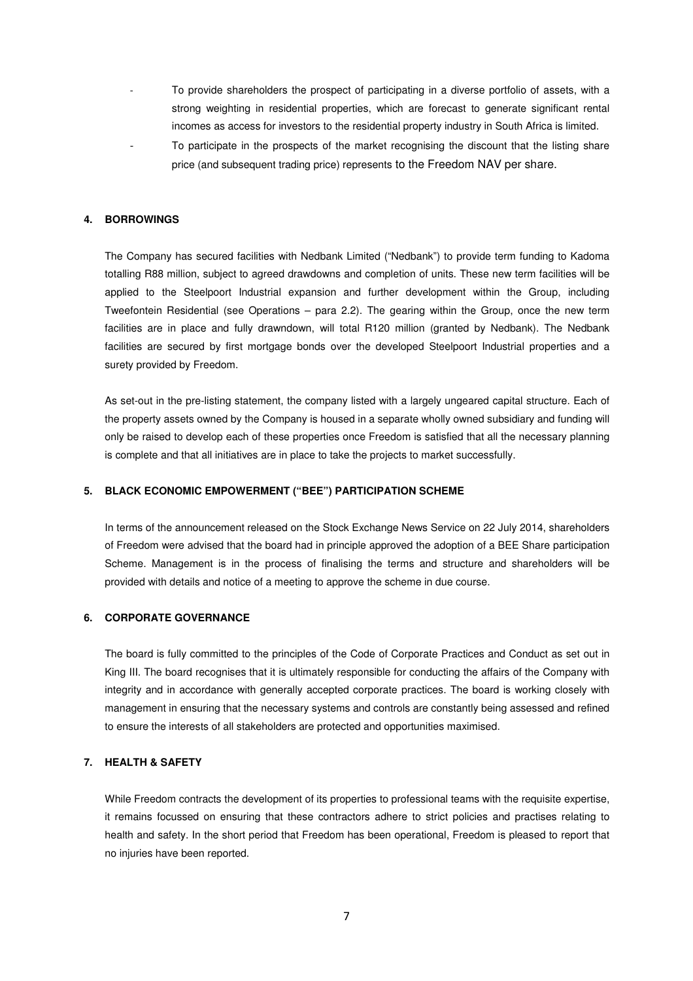- To provide shareholders the prospect of participating in a diverse portfolio of assets, with a strong weighting in residential properties, which are forecast to generate significant rental incomes as access for investors to the residential property industry in South Africa is limited.
- To participate in the prospects of the market recognising the discount that the listing share price (and subsequent trading price) represents to the Freedom NAV per share.

#### **4. BORROWINGS**

The Company has secured facilities with Nedbank Limited ("Nedbank") to provide term funding to Kadoma totalling R88 million, subject to agreed drawdowns and completion of units. These new term facilities will be applied to the Steelpoort Industrial expansion and further development within the Group, including Tweefontein Residential (see Operations – para 2.2). The gearing within the Group, once the new term facilities are in place and fully drawndown, will total R120 million (granted by Nedbank). The Nedbank facilities are secured by first mortgage bonds over the developed Steelpoort Industrial properties and a surety provided by Freedom.

As set-out in the pre-listing statement, the company listed with a largely ungeared capital structure. Each of the property assets owned by the Company is housed in a separate wholly owned subsidiary and funding will only be raised to develop each of these properties once Freedom is satisfied that all the necessary planning is complete and that all initiatives are in place to take the projects to market successfully.

#### **5. BLACK ECONOMIC EMPOWERMENT ("BEE") PARTICIPATION SCHEME**

In terms of the announcement released on the Stock Exchange News Service on 22 July 2014, shareholders of Freedom were advised that the board had in principle approved the adoption of a BEE Share participation Scheme. Management is in the process of finalising the terms and structure and shareholders will be provided with details and notice of a meeting to approve the scheme in due course.

### **6. CORPORATE GOVERNANCE**

The board is fully committed to the principles of the Code of Corporate Practices and Conduct as set out in King III. The board recognises that it is ultimately responsible for conducting the affairs of the Company with integrity and in accordance with generally accepted corporate practices. The board is working closely with management in ensuring that the necessary systems and controls are constantly being assessed and refined to ensure the interests of all stakeholders are protected and opportunities maximised.

# **7. HEALTH & SAFETY**

While Freedom contracts the development of its properties to professional teams with the requisite expertise, it remains focussed on ensuring that these contractors adhere to strict policies and practises relating to health and safety. In the short period that Freedom has been operational, Freedom is pleased to report that no injuries have been reported.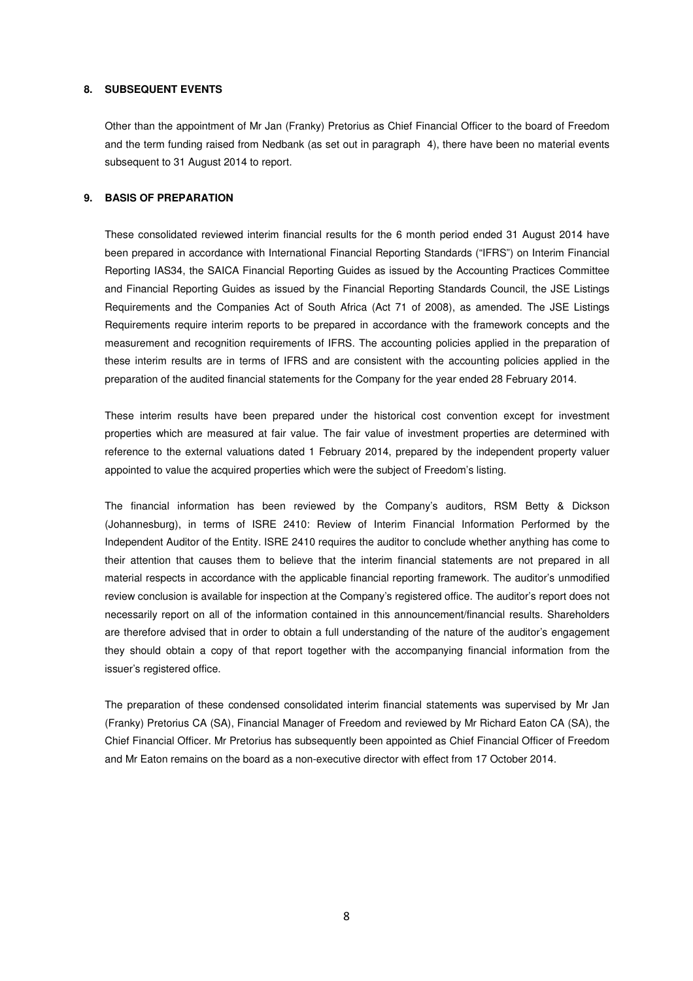#### **8. SUBSEQUENT EVENTS**

Other than the appointment of Mr Jan (Franky) Pretorius as Chief Financial Officer to the board of Freedom and the term funding raised from Nedbank (as set out in paragraph 4), there have been no material events subsequent to 31 August 2014 to report.

# **9. BASIS OF PREPARATION**

These consolidated reviewed interim financial results for the 6 month period ended 31 August 2014 have been prepared in accordance with International Financial Reporting Standards ("IFRS") on Interim Financial Reporting IAS34, the SAICA Financial Reporting Guides as issued by the Accounting Practices Committee and Financial Reporting Guides as issued by the Financial Reporting Standards Council, the JSE Listings Requirements and the Companies Act of South Africa (Act 71 of 2008), as amended. The JSE Listings Requirements require interim reports to be prepared in accordance with the framework concepts and the measurement and recognition requirements of IFRS. The accounting policies applied in the preparation of these interim results are in terms of IFRS and are consistent with the accounting policies applied in the preparation of the audited financial statements for the Company for the year ended 28 February 2014.

These interim results have been prepared under the historical cost convention except for investment properties which are measured at fair value. The fair value of investment properties are determined with reference to the external valuations dated 1 February 2014, prepared by the independent property valuer appointed to value the acquired properties which were the subject of Freedom's listing.

The financial information has been reviewed by the Company's auditors, RSM Betty & Dickson (Johannesburg), in terms of ISRE 2410: Review of Interim Financial Information Performed by the Independent Auditor of the Entity. ISRE 2410 requires the auditor to conclude whether anything has come to their attention that causes them to believe that the interim financial statements are not prepared in all material respects in accordance with the applicable financial reporting framework. The auditor's unmodified review conclusion is available for inspection at the Company's registered office. The auditor's report does not necessarily report on all of the information contained in this announcement/financial results. Shareholders are therefore advised that in order to obtain a full understanding of the nature of the auditor's engagement they should obtain a copy of that report together with the accompanying financial information from the issuer's registered office.

The preparation of these condensed consolidated interim financial statements was supervised by Mr Jan (Franky) Pretorius CA (SA), Financial Manager of Freedom and reviewed by Mr Richard Eaton CA (SA), the Chief Financial Officer. Mr Pretorius has subsequently been appointed as Chief Financial Officer of Freedom and Mr Eaton remains on the board as a non-executive director with effect from 17 October 2014.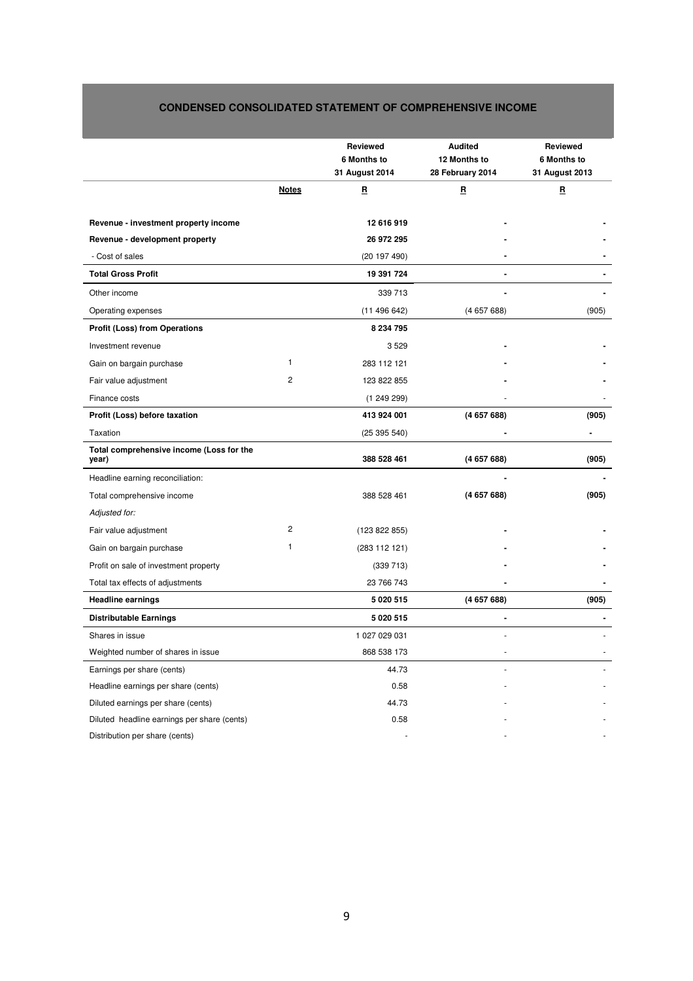# **CONDENSED CONSOLIDATED STATEMENT OF COMPREHENSIVE INCOME**

|                                                   |              | <b>Reviewed</b><br>6 Months to<br>31 August 2014 | <b>Audited</b><br>12 Months to<br>28 February 2014 | Reviewed<br>6 Months to<br>31 August 2013 |
|---------------------------------------------------|--------------|--------------------------------------------------|----------------------------------------------------|-------------------------------------------|
|                                                   | <u>Notes</u> | B                                                | B                                                  | $\mathbf{B}$                              |
|                                                   |              |                                                  |                                                    |                                           |
| Revenue - investment property income              |              | 12 616 919                                       |                                                    |                                           |
| Revenue - development property<br>- Cost of sales |              | 26 972 295                                       |                                                    |                                           |
|                                                   |              | (20197490)                                       |                                                    |                                           |
| <b>Total Gross Profit</b>                         |              | 19 391 724                                       |                                                    |                                           |
| Other income                                      |              | 339 713                                          |                                                    |                                           |
| Operating expenses                                |              | (11496642)                                       | (465768)                                           | (905)                                     |
| <b>Profit (Loss) from Operations</b>              |              | 8 234 795                                        |                                                    |                                           |
| Investment revenue                                |              | 3529                                             |                                                    |                                           |
| Gain on bargain purchase                          | 1            | 283 112 121                                      |                                                    |                                           |
| Fair value adjustment                             | 2            | 123 822 855                                      |                                                    |                                           |
| Finance costs                                     |              | (124929)                                         |                                                    |                                           |
| Profit (Loss) before taxation                     |              | 413 924 001                                      | (465768)                                           | (905)                                     |
| Taxation                                          |              | (25395540)                                       |                                                    |                                           |
| Total comprehensive income (Loss for the<br>year) |              | 388 528 461                                      | (465768)                                           | (905)                                     |
| Headline earning reconciliation:                  |              |                                                  |                                                    |                                           |
| Total comprehensive income                        |              | 388 528 461                                      | (465768)                                           | (905)                                     |
| Adjusted for:                                     |              |                                                  |                                                    |                                           |
| Fair value adjustment                             | 2            | (123 822 855)                                    |                                                    |                                           |
| Gain on bargain purchase                          | 1            | (283 112 121)                                    |                                                    |                                           |
| Profit on sale of investment property             |              | (339 713)                                        |                                                    |                                           |
| Total tax effects of adjustments                  |              | 23 766 743                                       |                                                    |                                           |
| <b>Headline earnings</b>                          |              | 5 0 20 5 15                                      | (465768)                                           | (905)                                     |
| <b>Distributable Earnings</b>                     |              | 5 0 20 5 15                                      |                                                    |                                           |
| Shares in issue                                   |              | 1 027 029 031                                    |                                                    |                                           |
| Weighted number of shares in issue                |              | 868 538 173                                      |                                                    |                                           |
| Earnings per share (cents)                        |              | 44.73                                            |                                                    |                                           |
| Headline earnings per share (cents)               |              | 0.58                                             |                                                    |                                           |
| Diluted earnings per share (cents)                |              | 44.73                                            |                                                    |                                           |
| Diluted headline earnings per share (cents)       |              | 0.58                                             |                                                    |                                           |
| Distribution per share (cents)                    |              |                                                  |                                                    |                                           |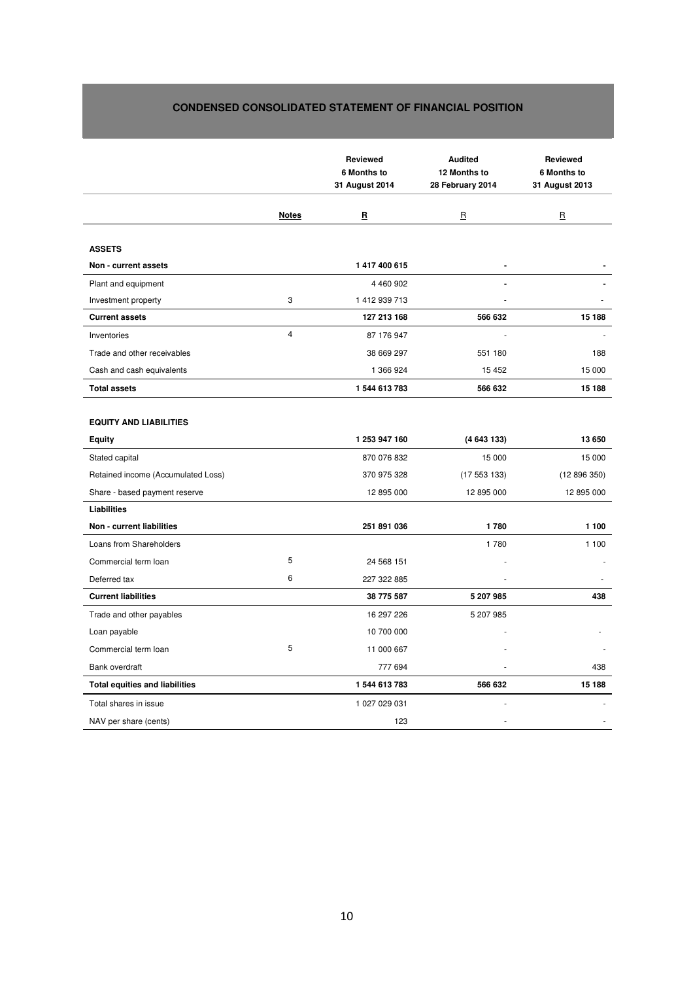# **CONDENSED CONSOLIDATED STATEMENT OF FINANCIAL POSITION**

|                                                |                | <b>Reviewed</b><br>6 Months to<br>31 August 2014 | <b>Audited</b><br>12 Months to<br>28 February 2014 | <b>Reviewed</b><br>6 Months to<br>31 August 2013 |
|------------------------------------------------|----------------|--------------------------------------------------|----------------------------------------------------|--------------------------------------------------|
|                                                | <b>Notes</b>   | R                                                | $\mathbf{B}$                                       | $\mathbf{B}$                                     |
| <b>ASSETS</b>                                  |                |                                                  |                                                    |                                                  |
| Non - current assets                           |                | 1417400615                                       | $\blacksquare$                                     |                                                  |
| Plant and equipment                            |                | 4 460 902                                        |                                                    |                                                  |
| Investment property                            | 3              | 1412939713                                       |                                                    |                                                  |
| <b>Current assets</b>                          |                | 127 213 168                                      | 566 632                                            | 15 188                                           |
| Inventories                                    | $\overline{4}$ | 87 176 947                                       | ä,                                                 |                                                  |
| Trade and other receivables                    |                | 38 669 297                                       | 551 180                                            | 188                                              |
| Cash and cash equivalents                      |                | 1 366 924                                        | 15 4 52                                            | 15 000                                           |
| <b>Total assets</b>                            |                | 1544 613 783                                     | 566 632                                            | 15 188                                           |
| <b>EQUITY AND LIABILITIES</b><br><b>Equity</b> |                | 1 253 947 160                                    | (4 643 133)                                        | 13 650                                           |
| Stated capital                                 |                | 870 076 832                                      | 15 000                                             | 15 000                                           |
| Retained income (Accumulated Loss)             |                | 370 975 328                                      | (17553133)                                         | (12896350)                                       |
| Share - based payment reserve                  |                | 12 895 000                                       | 12 895 000                                         | 12 895 000                                       |
| <b>Liabilities</b>                             |                |                                                  |                                                    |                                                  |
| Non - current liabilities                      |                | 251 891 036                                      | 1780                                               | 1 100                                            |
| Loans from Shareholders                        |                |                                                  | 1780                                               | 1 100                                            |
| Commercial term loan                           | 5              | 24 568 151                                       |                                                    |                                                  |
| Deferred tax                                   | 6              | 227 322 885                                      |                                                    |                                                  |
| <b>Current liabilities</b>                     |                | 38 775 587                                       | 5 207 985                                          | 438                                              |
| Trade and other payables                       |                | 16 297 226                                       | 5 207 985                                          |                                                  |
| Loan payable                                   |                | 10 700 000                                       |                                                    |                                                  |
| Commercial term loan                           | 5              | 11 000 667                                       |                                                    |                                                  |
| Bank overdraft                                 |                | 777 694                                          |                                                    | 438                                              |
| <b>Total equities and liabilities</b>          |                | 1544 613 783                                     | 566 632                                            | 15 188                                           |
| Total shares in issue                          |                | 1 027 029 031                                    |                                                    |                                                  |
| NAV per share (cents)                          |                | 123                                              |                                                    |                                                  |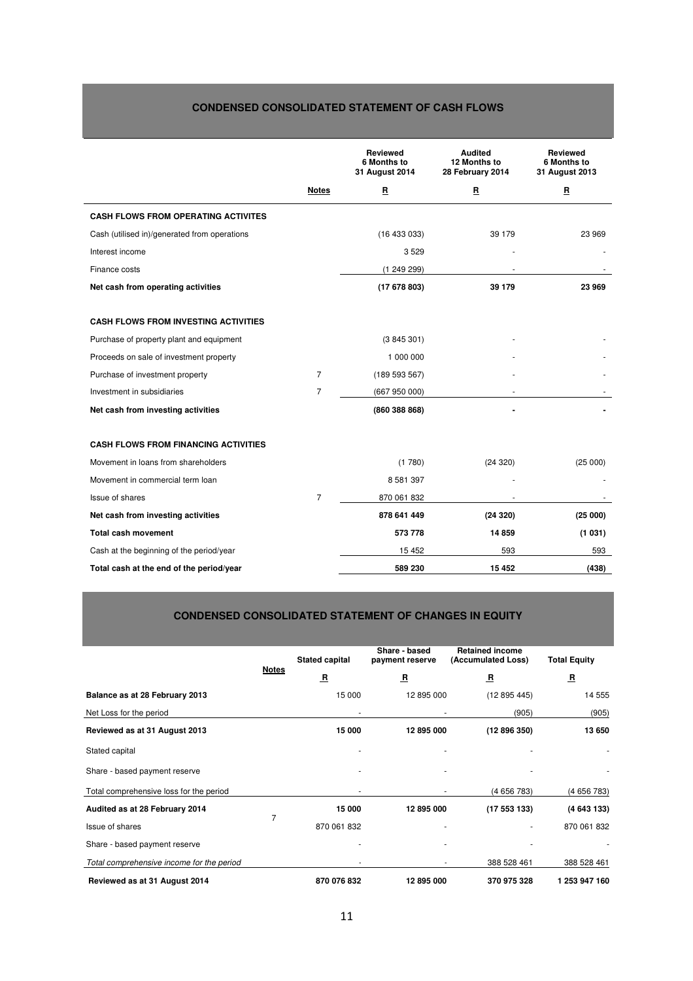# **CONDENSED CONSOLIDATED STATEMENT OF CASH FLOWS**

|                                              |                | <b>Reviewed</b><br>6 Months to<br>31 August 2014 | <b>Audited</b><br>12 Months to<br>28 February 2014 | <b>Reviewed</b><br>6 Months to<br>31 August 2013 |
|----------------------------------------------|----------------|--------------------------------------------------|----------------------------------------------------|--------------------------------------------------|
|                                              | <b>Notes</b>   | $\mathbf{B}$                                     | $\mathbf{B}$                                       | $\mathbf{B}$                                     |
| <b>CASH FLOWS FROM OPERATING ACTIVITES</b>   |                |                                                  |                                                    |                                                  |
| Cash (utilised in)/generated from operations |                | (16433033)                                       | 39 179                                             | 23 969                                           |
| Interest income                              |                | 3529                                             |                                                    |                                                  |
| Finance costs                                |                | (124929)                                         | ٠                                                  |                                                  |
| Net cash from operating activities           |                | (17678803)                                       | 39 179                                             | 23 969                                           |
|                                              |                |                                                  |                                                    |                                                  |
| <b>CASH FLOWS FROM INVESTING ACTIVITIES</b>  |                |                                                  |                                                    |                                                  |
| Purchase of property plant and equipment     |                | (3845301)                                        |                                                    |                                                  |
| Proceeds on sale of investment property      |                | 1 000 000                                        |                                                    |                                                  |
| Purchase of investment property              | 7              | (189593567)                                      |                                                    |                                                  |
| Investment in subsidiaries                   | $\overline{7}$ | (667950000)                                      |                                                    |                                                  |
| Net cash from investing activities           |                | (860 388 868)                                    |                                                    |                                                  |
| <b>CASH FLOWS FROM FINANCING ACTIVITIES</b>  |                |                                                  |                                                    |                                                  |
| Movement in loans from shareholders          |                | (1780)                                           | (24320)                                            | (25000)                                          |
| Movement in commercial term loan             |                | 8 5 8 1 3 9 7                                    |                                                    |                                                  |
| <b>Issue of shares</b>                       | $\overline{7}$ | 870 061 832                                      |                                                    |                                                  |
| Net cash from investing activities           |                | 878 641 449                                      | (24320)                                            | (25000)                                          |
| <b>Total cash movement</b>                   |                | 573 778                                          | 14 8 59                                            | (1031)                                           |
| Cash at the beginning of the period/year     |                | 15 452                                           | 593                                                | 593                                              |
| Total cash at the end of the period/year     |                | 589 230                                          | 15 4 52                                            | (438)                                            |

# **CONDENSED CONSOLIDATED STATEMENT OF CHANGES IN EQUITY**

|                                           |                | <b>Stated capital</b>   | Share - based<br>payment reserve | <b>Retained income</b><br>(Accumulated Loss) | <b>Total Equity</b>     |
|-------------------------------------------|----------------|-------------------------|----------------------------------|----------------------------------------------|-------------------------|
|                                           | <b>Notes</b>   | $\overline{\mathbf{B}}$ | $\overline{\mathbf{B}}$          | 묘                                            | $\overline{\mathbf{B}}$ |
| Balance as at 28 February 2013            |                | 15 000                  | 12 895 000                       | (12895445)                                   | 14 555                  |
| Net Loss for the period                   |                |                         |                                  | (905)                                        | (905)                   |
| Reviewed as at 31 August 2013             |                | 15 000                  | 12 895 000                       | (12896350)                                   | 13 650                  |
| Stated capital                            |                |                         |                                  |                                              | ٠                       |
| Share - based payment reserve             |                |                         |                                  |                                              |                         |
| Total comprehensive loss for the period   |                |                         |                                  | (4656783)                                    | (4656783)               |
| Audited as at 28 February 2014            | $\overline{7}$ | 15 000                  | 12 895 000                       | (17553133)                                   | (4643133)               |
| Issue of shares                           |                | 870 061 832             |                                  | ٠                                            | 870 061 832             |
| Share - based payment reserve             |                |                         |                                  |                                              |                         |
| Total comprehensive income for the period |                |                         | ٠                                | 388 528 461                                  | 388 528 461             |
| Reviewed as at 31 August 2014             |                | 870 076 832             | 12 895 000                       | 370 975 328                                  | 1 253 947 160           |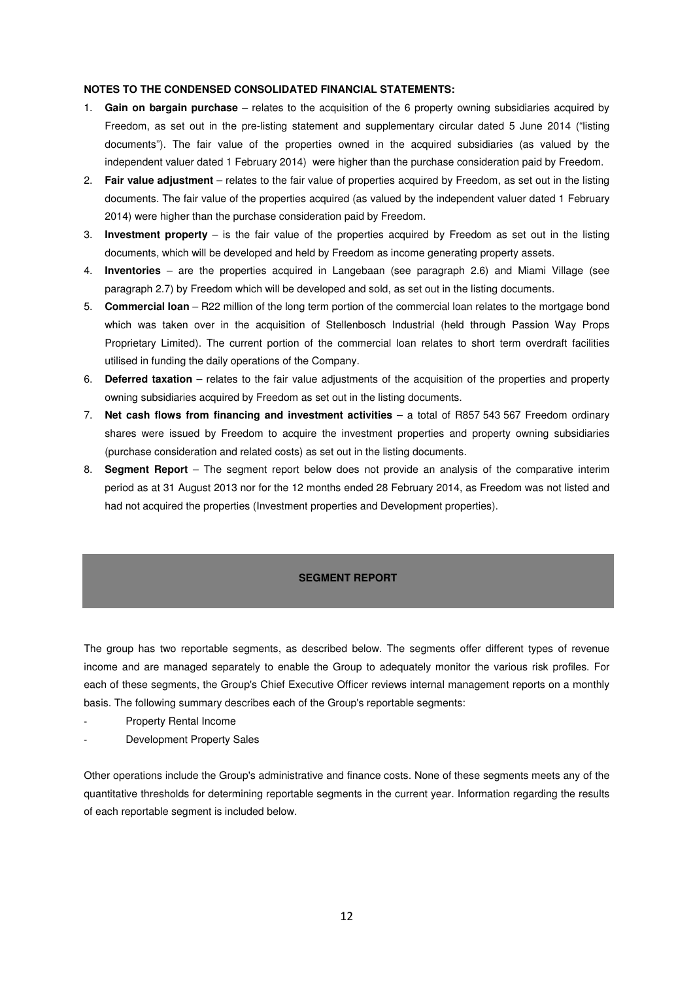# **NOTES TO THE CONDENSED CONSOLIDATED FINANCIAL STATEMENTS:**

- 1. **Gain on bargain purchase** relates to the acquisition of the 6 property owning subsidiaries acquired by Freedom, as set out in the pre-listing statement and supplementary circular dated 5 June 2014 ("listing documents"). The fair value of the properties owned in the acquired subsidiaries (as valued by the independent valuer dated 1 February 2014) were higher than the purchase consideration paid by Freedom.
- 2. **Fair value adjustment** relates to the fair value of properties acquired by Freedom, as set out in the listing documents. The fair value of the properties acquired (as valued by the independent valuer dated 1 February 2014) were higher than the purchase consideration paid by Freedom.
- 3. **Investment property** is the fair value of the properties acquired by Freedom as set out in the listing documents, which will be developed and held by Freedom as income generating property assets.
- 4. **Inventories** are the properties acquired in Langebaan (see paragraph 2.6) and Miami Village (see paragraph 2.7) by Freedom which will be developed and sold, as set out in the listing documents.
- 5. **Commercial loan**  R22 million of the long term portion of the commercial loan relates to the mortgage bond which was taken over in the acquisition of Stellenbosch Industrial (held through Passion Way Props Proprietary Limited). The current portion of the commercial loan relates to short term overdraft facilities utilised in funding the daily operations of the Company.
- 6. **Deferred taxation** relates to the fair value adjustments of the acquisition of the properties and property owning subsidiaries acquired by Freedom as set out in the listing documents.
- 7. **Net cash flows from financing and investment activities**  a total of R857 543 567 Freedom ordinary shares were issued by Freedom to acquire the investment properties and property owning subsidiaries (purchase consideration and related costs) as set out in the listing documents.
- 8. **Segment Report**  The segment report below does not provide an analysis of the comparative interim period as at 31 August 2013 nor for the 12 months ended 28 February 2014, as Freedom was not listed and had not acquired the properties (Investment properties and Development properties).

# **SEGMENT REPORT**

The group has two reportable segments, as described below. The segments offer different types of revenue income and are managed separately to enable the Group to adequately monitor the various risk profiles. For each of these segments, the Group's Chief Executive Officer reviews internal management reports on a monthly basis. The following summary describes each of the Group's reportable segments:

- Property Rental Income
- Development Property Sales

Other operations include the Group's administrative and finance costs. None of these segments meets any of the quantitative thresholds for determining reportable segments in the current year. Information regarding the results of each reportable segment is included below.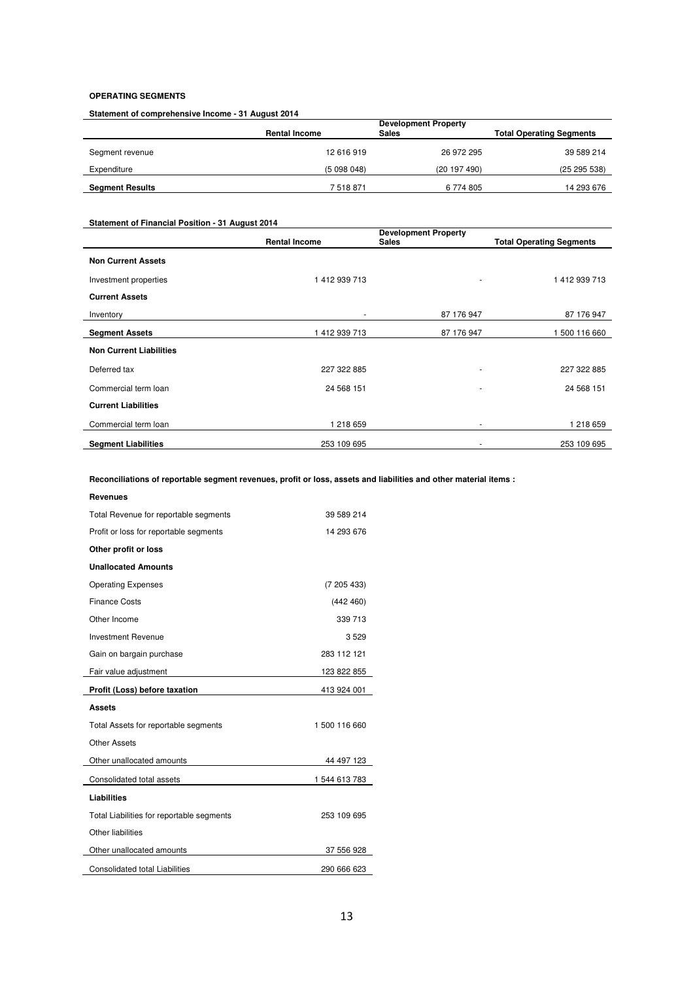# **OPERATING SEGMENTS**

**Statement of comprehensive Income - 31 August 2014**

|                        | <b>Rental Income</b> | <b>Development Property</b><br><b>Sales</b> | <b>Total Operating Segments</b> |
|------------------------|----------------------|---------------------------------------------|---------------------------------|
| Segment revenue        | 12 616 919           | 26 972 295                                  | 39 589 214                      |
| Expenditure            | (5098048)            | (20197490)                                  | (25 295 538)                    |
| <b>Segment Results</b> | 7518871              | 6 774 805                                   | 14 293 676                      |

# **Statement of Financial Position - 31 August 2014**

|                                | <b>Rental Income</b> | <b>Development Property</b><br><b>Sales</b> | <b>Total Operating Segments</b> |
|--------------------------------|----------------------|---------------------------------------------|---------------------------------|
| <b>Non Current Assets</b>      |                      |                                             |                                 |
| Investment properties          | 1412939713           | $\overline{\phantom{a}}$                    | 1412939713                      |
| <b>Current Assets</b>          |                      |                                             |                                 |
| Inventory                      |                      | 87 176 947                                  | 87 176 947                      |
| <b>Segment Assets</b>          | 1 412 939 713        | 87 176 947                                  | 500 116 660                     |
| <b>Non Current Liabilities</b> |                      |                                             |                                 |
| Deferred tax                   | 227 322 885          | $\overline{\phantom{a}}$                    | 227 322 885                     |
| Commercial term loan           | 24 568 151           | ٠                                           | 24 568 151                      |
| <b>Current Liabilities</b>     |                      |                                             |                                 |
| Commercial term loan           | 1 218 659            | $\overline{\phantom{a}}$                    | 1 218 659                       |
| <b>Segment Liabilities</b>     | 253 109 695          |                                             | 253 109 695                     |

**Reconciliations of reportable segment revenues, profit or loss, assets and liabilities and other material items :** 

| <b>Revenues</b>                           |               |
|-------------------------------------------|---------------|
| Total Revenue for reportable segments     | 39 589 214    |
| Profit or loss for reportable segments    | 14 293 676    |
| Other profit or loss                      |               |
| <b>Unallocated Amounts</b>                |               |
| <b>Operating Expenses</b>                 | (7205433)     |
| <b>Finance Costs</b>                      | (442 460)     |
| Other Income                              | 339 713       |
| <b>Investment Revenue</b>                 | 3529          |
| Gain on bargain purchase                  | 283 112 121   |
| Fair value adjustment                     | 123 822 855   |
|                                           |               |
| Profit (Loss) before taxation             | 413 924 001   |
| <b>Assets</b>                             |               |
| Total Assets for reportable segments      | 1500 116 660  |
| <b>Other Assets</b>                       |               |
| Other unallocated amounts                 | 44 497 123    |
| Consolidated total assets                 | 1 544 613 783 |
| <b>Liabilities</b>                        |               |
| Total Liabilities for reportable segments | 253 109 695   |
| Other liabilities                         |               |
| Other unallocated amounts                 | 37 556 928    |